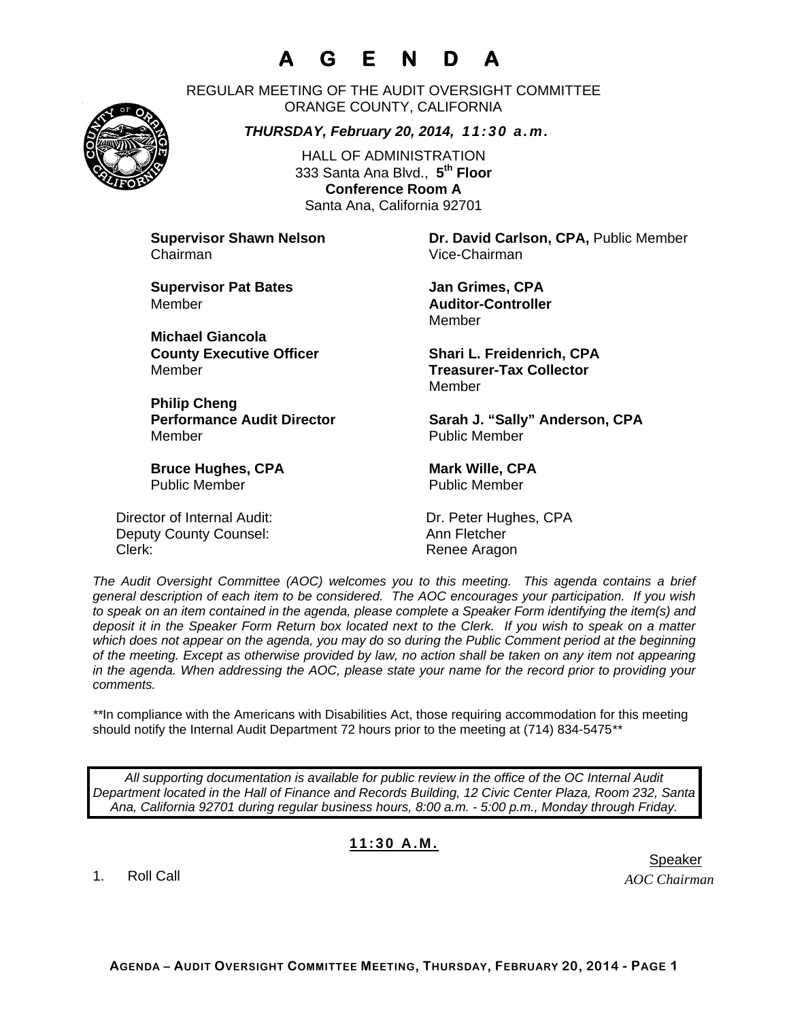# **A G E N D A**

REGULAR MEETING OF THE AUDIT OVERSIGHT COMMITTEE ORANGE COUNTY, CALIFORNIA

*THURSDAY, February 20, 2014, 11:30 a.m.*

HALL OF ADMINISTRATION 333 Santa Ana Blvd., **5th Floor Conference Room A**  Santa Ana, California 92701

Chairman Vice-Chairman

**Supervisor Pat Bates**  Jan Grimes, CPA Member **Auditor-Controller** 

**Michael Giancola** Member **Treasurer-Tax Collector** 

**Philip Cheng**  Member Public Member

**Bruce Hughes, CPA** Mark Wille, CPA Public Member Public Member

Director of Internal Audit: Dr. Peter Hughes, CPA Deputy County Counsel: Ann Fletcher Clerk: Clerk: Clerk: Clerk: Renee Aragon

**Supervisor Shawn Nelson Dr. David Carlson, CPA,** Public Member

Member

**County Executive Officer Shari L. Freidenrich, CPA** Member

Performance Audit Director **Sarah J. "Sally" Anderson, CPA** 

*The Audit Oversight Committee (AOC) welcomes you to this meeting. This agenda contains a brief general description of each item to be considered. The AOC encourages your participation. If you wish to speak on an item contained in the agenda, please complete a Speaker Form identifying the item(s) and deposit it in the Speaker Form Return box located next to the Clerk. If you wish to speak on a matter which does not appear on the agenda, you may do so during the Public Comment period at the beginning of the meeting. Except as otherwise provided by law, no action shall be taken on any item not appearing in the agenda. When addressing the AOC, please state your name for the record prior to providing your comments.* 

*\*\**In compliance with the Americans with Disabilities Act, those requiring accommodation for this meeting should notify the Internal Audit Department 72 hours prior to the meeting at (714) 834-5475*\*\** 

*All supporting documentation is available for public review in the office of the OC Internal Audit Department located in the Hall of Finance and Records Building, 12 Civic Center Plaza, Room 232, Santa Ana, California 92701 during regular business hours, 8:00 a.m. - 5:00 p.m., Monday through Friday.* 

#### **11:30 A.M.**

1. Roll Call



er in de staat de bestiet in de staat de bestiet in de bestiet in de bestiet in de bestiet in de staat de staa

*AOC Chairman*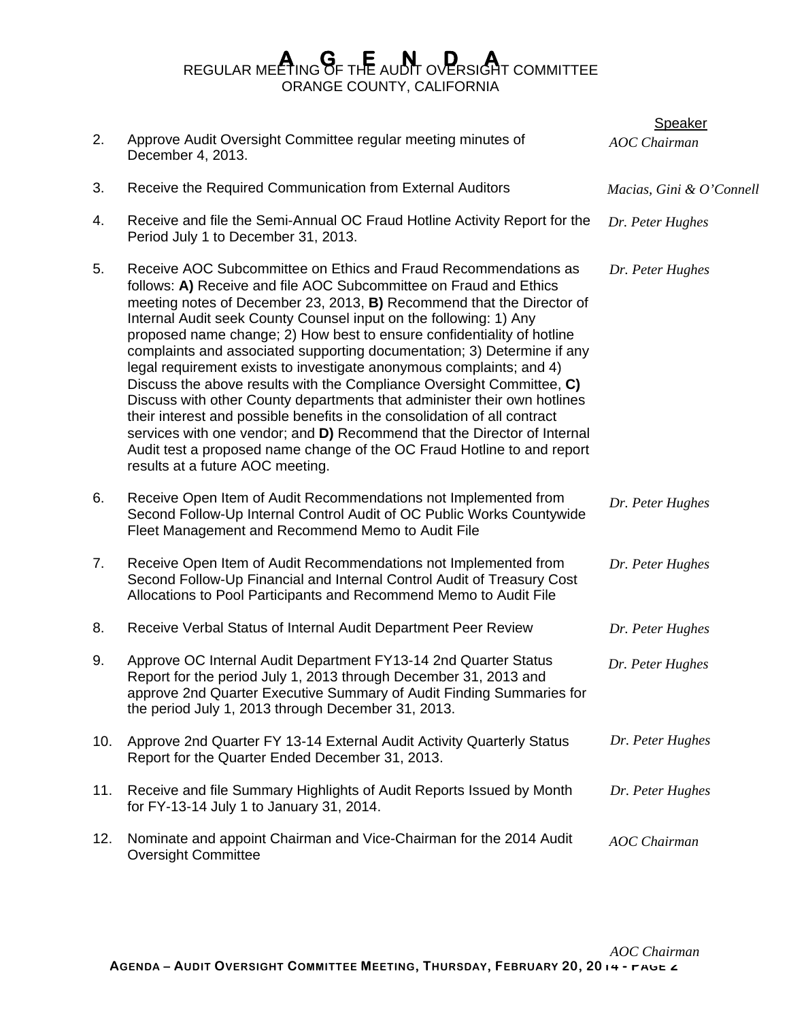## REGULAR MEETING OF THE AUDIT OVERSIGHT COMMITTEE ORANGE COUNTY, CALIFORNIA

|     |                                                                                                                                                                                                                                                                                                                                                                                                                                                                                                                                                                                                                                                                                                                                                                                                                                                                                                                                              | <b>Speaker</b>           |
|-----|----------------------------------------------------------------------------------------------------------------------------------------------------------------------------------------------------------------------------------------------------------------------------------------------------------------------------------------------------------------------------------------------------------------------------------------------------------------------------------------------------------------------------------------------------------------------------------------------------------------------------------------------------------------------------------------------------------------------------------------------------------------------------------------------------------------------------------------------------------------------------------------------------------------------------------------------|--------------------------|
| 2.  | Approve Audit Oversight Committee regular meeting minutes of<br>December 4, 2013.                                                                                                                                                                                                                                                                                                                                                                                                                                                                                                                                                                                                                                                                                                                                                                                                                                                            | <b>AOC</b> Chairman      |
| 3.  | Receive the Required Communication from External Auditors                                                                                                                                                                                                                                                                                                                                                                                                                                                                                                                                                                                                                                                                                                                                                                                                                                                                                    | Macias, Gini & O'Connell |
| 4.  | Receive and file the Semi-Annual OC Fraud Hotline Activity Report for the<br>Period July 1 to December 31, 2013.                                                                                                                                                                                                                                                                                                                                                                                                                                                                                                                                                                                                                                                                                                                                                                                                                             | Dr. Peter Hughes         |
| 5.  | Receive AOC Subcommittee on Ethics and Fraud Recommendations as<br>follows: A) Receive and file AOC Subcommittee on Fraud and Ethics<br>meeting notes of December 23, 2013, B) Recommend that the Director of<br>Internal Audit seek County Counsel input on the following: 1) Any<br>proposed name change; 2) How best to ensure confidentiality of hotline<br>complaints and associated supporting documentation; 3) Determine if any<br>legal requirement exists to investigate anonymous complaints; and 4)<br>Discuss the above results with the Compliance Oversight Committee, C)<br>Discuss with other County departments that administer their own hotlines<br>their interest and possible benefits in the consolidation of all contract<br>services with one vendor; and D) Recommend that the Director of Internal<br>Audit test a proposed name change of the OC Fraud Hotline to and report<br>results at a future AOC meeting. | Dr. Peter Hughes         |
| 6.  | Receive Open Item of Audit Recommendations not Implemented from<br>Second Follow-Up Internal Control Audit of OC Public Works Countywide<br>Fleet Management and Recommend Memo to Audit File                                                                                                                                                                                                                                                                                                                                                                                                                                                                                                                                                                                                                                                                                                                                                | Dr. Peter Hughes         |
| 7.  | Receive Open Item of Audit Recommendations not Implemented from<br>Second Follow-Up Financial and Internal Control Audit of Treasury Cost<br>Allocations to Pool Participants and Recommend Memo to Audit File                                                                                                                                                                                                                                                                                                                                                                                                                                                                                                                                                                                                                                                                                                                               | Dr. Peter Hughes         |
| 8.  | Receive Verbal Status of Internal Audit Department Peer Review                                                                                                                                                                                                                                                                                                                                                                                                                                                                                                                                                                                                                                                                                                                                                                                                                                                                               | Dr. Peter Hughes         |
| 9.  | Approve OC Internal Audit Department FY13-14 2nd Quarter Status<br>Report for the period July 1, 2013 through December 31, 2013 and<br>approve 2nd Quarter Executive Summary of Audit Finding Summaries for<br>the period July 1, 2013 through December 31, 2013.                                                                                                                                                                                                                                                                                                                                                                                                                                                                                                                                                                                                                                                                            | Dr. Peter Hughes         |
| 10. | Approve 2nd Quarter FY 13-14 External Audit Activity Quarterly Status<br>Report for the Quarter Ended December 31, 2013.                                                                                                                                                                                                                                                                                                                                                                                                                                                                                                                                                                                                                                                                                                                                                                                                                     | Dr. Peter Hughes         |
| 11. | Receive and file Summary Highlights of Audit Reports Issued by Month<br>for FY-13-14 July 1 to January 31, 2014.                                                                                                                                                                                                                                                                                                                                                                                                                                                                                                                                                                                                                                                                                                                                                                                                                             | Dr. Peter Hughes         |
| 12. | Nominate and appoint Chairman and Vice-Chairman for the 2014 Audit<br><b>Oversight Committee</b>                                                                                                                                                                                                                                                                                                                                                                                                                                                                                                                                                                                                                                                                                                                                                                                                                                             | <b>AOC</b> Chairman      |